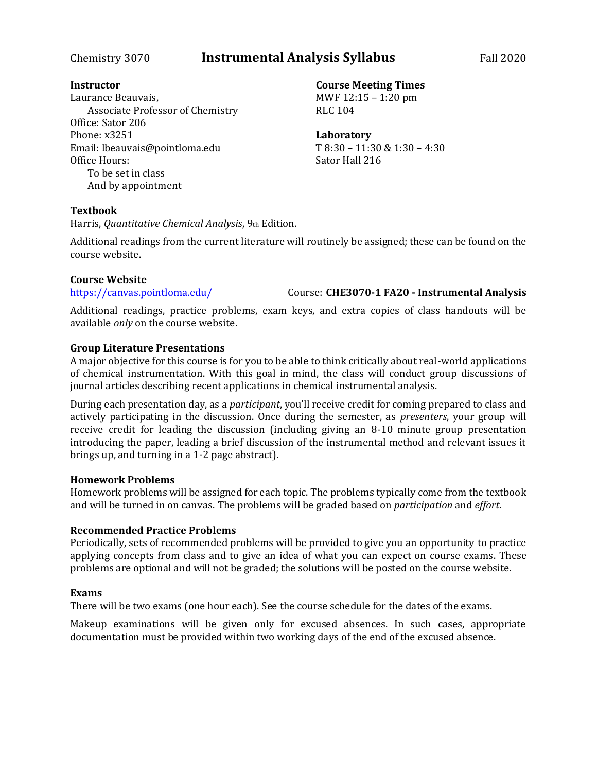# Chemistry 3070 **Instrumental Analysis Syllabus** Fall 2020

### **Instructor**

Laurance Beauvais, Associate Professor of Chemistry Office: Sator 206 Phone: x3251 Email: lbeauvais@pointloma.edu Office Hours: To be set in class And by appointment

### **Course Meeting Times** MWF 12:15 – 1:20 pm RLC 104

**Laboratory** T 8:30 – 11:30 & 1:30 – 4:30 Sator Hall 216

### **Textbook**

Harris, *Quantitative Chemical Analysis*, 9th Edition.

Additional readings from the current literature will routinely be assigned; these can be found on the course website.

### **Course Website**

<https://canvas.pointloma.edu/> Course: **CHE3070-1 FA20 - Instrumental Analysis**

Additional readings, practice problems, exam keys, and extra copies of class handouts will be available *only* on the course website.

### **Group Literature Presentations**

A major objective for this course is for you to be able to think critically about real-world applications of chemical instrumentation. With this goal in mind, the class will conduct group discussions of journal articles describing recent applications in chemical instrumental analysis.

During each presentation day, as a *participant*, you'll receive credit for coming prepared to class and actively participating in the discussion. Once during the semester, as *presenters*, your group will receive credit for leading the discussion (including giving an 8-10 minute group presentation introducing the paper, leading a brief discussion of the instrumental method and relevant issues it brings up, and turning in a 1-2 page abstract).

### **Homework Problems**

Homework problems will be assigned for each topic. The problems typically come from the textbook and will be turned in on canvas. The problems will be graded based on *participation* and *effort*.

### **Recommended Practice Problems**

Periodically, sets of recommended problems will be provided to give you an opportunity to practice applying concepts from class and to give an idea of what you can expect on course exams. These problems are optional and will not be graded; the solutions will be posted on the course website.

### **Exams**

There will be two exams (one hour each). See the course schedule for the dates of the exams.

Makeup examinations will be given only for excused absences. In such cases, appropriate documentation must be provided within two working days of the end of the excused absence.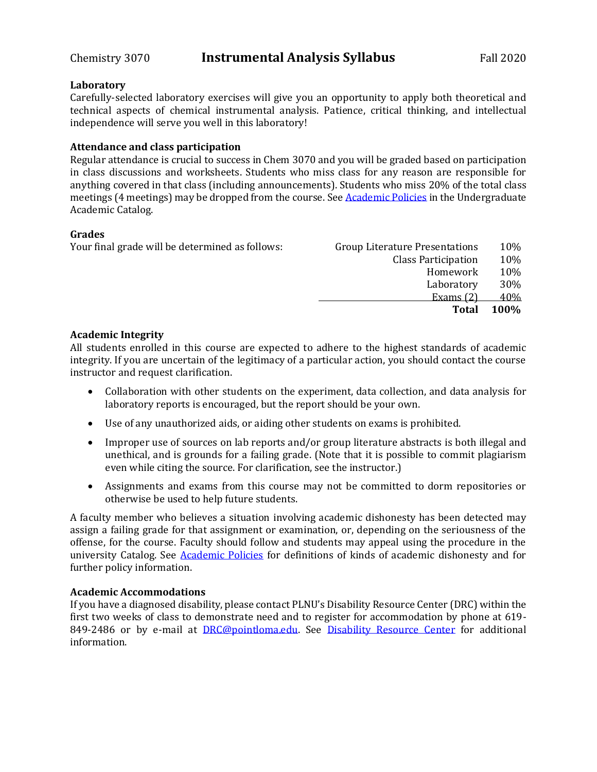## Chemistry 3070 **Instrumental Analysis Syllabus** Fall 2020

### **Laboratory**

Carefully-selected laboratory exercises will give you an opportunity to apply both theoretical and technical aspects of chemical instrumental analysis. Patience, critical thinking, and intellectual independence will serve you well in this laboratory!

### **Attendance and class participation**

Regular attendance is crucial to success in Chem 3070 and you will be graded based on participation in class discussions and worksheets. Students who miss class for any reason are responsible for anything covered in that class (including announcements). Students who miss 20% of the total class meetings (4 meetings) may be dropped from the course. See [Academic Policies](http://catalog.pointloma.edu/content.php?catoid=18&navoid=1278) in the Undergraduate Academic Catalog.

### **Grades**

| Your final grade will be determined as follows: | <b>Group Literature Presentations</b> | 10%  |
|-------------------------------------------------|---------------------------------------|------|
|                                                 | <b>Class Participation</b>            | 10%  |
|                                                 | Homework                              | 10%  |
|                                                 | Laboratory                            | 30%  |
|                                                 | Exams $(2)$                           | 40%  |
|                                                 | <b>Total</b>                          | 100% |
|                                                 |                                       |      |

### **Academic Integrity**

All students enrolled in this course are expected to adhere to the highest standards of academic integrity. If you are uncertain of the legitimacy of a particular action, you should contact the course instructor and request clarification.

- Collaboration with other students on the experiment, data collection, and data analysis for laboratory reports is encouraged, but the report should be your own.
- Use of any unauthorized aids, or aiding other students on exams is prohibited.
- Improper use of sources on lab reports and/or group literature abstracts is both illegal and unethical, and is grounds for a failing grade. (Note that it is possible to commit plagiarism even while citing the source. For clarification, see the instructor.)
- Assignments and exams from this course may not be committed to dorm repositories or otherwise be used to help future students.

A faculty member who believes a situation involving academic dishonesty has been detected may assign a failing grade for that assignment or examination, or, depending on the seriousness of the offense, for the course. Faculty should follow and students may appeal using the procedure in the university Catalog. See [Academic Policies](http://catalog.pointloma.edu/content.php?catoid=18&navoid=1278) for definitions of kinds of academic dishonesty and for further policy information.

### **Academic Accommodations**

If you have a diagnosed disability, please contact PLNU's Disability Resource Center (DRC) within the first two weeks of class to demonstrate need and to register for accommodation by phone at 619- 849-2486 or by e-mail at [DRC@pointloma.edu.](mailto:DRC@pointloma.edu) See [Disability Resource Center](http://www.pointloma.edu/experience/offices/administrative-offices/academic-advising-office/disability-resource-center) for additional information.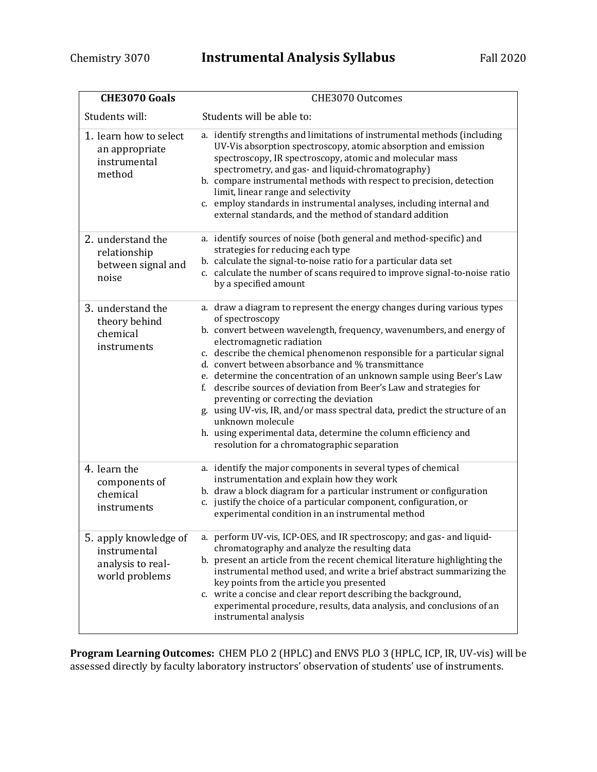| <b>CHE3070 Goals</b>                                                         | CHE3070 Outcomes                                                                                                                                                                                                                                                                                                                                                                                                                                                                                                                                                                                                                                                                                                                             |  |  |  |  |
|------------------------------------------------------------------------------|----------------------------------------------------------------------------------------------------------------------------------------------------------------------------------------------------------------------------------------------------------------------------------------------------------------------------------------------------------------------------------------------------------------------------------------------------------------------------------------------------------------------------------------------------------------------------------------------------------------------------------------------------------------------------------------------------------------------------------------------|--|--|--|--|
| Students will:                                                               | Students will be able to:                                                                                                                                                                                                                                                                                                                                                                                                                                                                                                                                                                                                                                                                                                                    |  |  |  |  |
| 1. learn how to select<br>an appropriate<br>instrumental<br>method           | a. identify strengths and limitations of instrumental methods (including<br>UV-Vis absorption spectroscopy, atomic absorption and emission<br>spectroscopy, IR spectroscopy, atomic and molecular mass<br>spectrometry, and gas- and liquid-chromatography)<br>b. compare instrumental methods with respect to precision, detection<br>limit, linear range and selectivity<br>c. employ standards in instrumental analyses, including internal and<br>external standards, and the method of standard addition                                                                                                                                                                                                                                |  |  |  |  |
| 2. understand the<br>relationship<br>between signal and<br>noise             | a. identify sources of noise (both general and method-specific) and<br>strategies for reducing each type<br>b. calculate the signal-to-noise ratio for a particular data set<br>c. calculate the number of scans required to improve signal-to-noise ratio<br>by a specified amount                                                                                                                                                                                                                                                                                                                                                                                                                                                          |  |  |  |  |
| 3. understand the<br>theory behind<br>chemical<br>instruments                | a. draw a diagram to represent the energy changes during various types<br>of spectroscopy<br>b. convert between wavelength, frequency, wavenumbers, and energy of<br>electromagnetic radiation<br>c. describe the chemical phenomenon responsible for a particular signal<br>d. convert between absorbance and % transmittance<br>e. determine the concentration of an unknown sample using Beer's Law<br>f. describe sources of deviation from Beer's Law and strategies for<br>preventing or correcting the deviation<br>g. using UV-vis, IR, and/or mass spectral data, predict the structure of an<br>unknown molecule<br>h. using experimental data, determine the column efficiency and<br>resolution for a chromatographic separation |  |  |  |  |
| 4. learn the<br>components of<br>chemical<br>instruments                     | a. identify the major components in several types of chemical<br>instrumentation and explain how they work<br>b. draw a block diagram for a particular instrument or configuration<br>c. justify the choice of a particular component, configuration, or<br>experimental condition in an instrumental method                                                                                                                                                                                                                                                                                                                                                                                                                                 |  |  |  |  |
| 5. apply knowledge of<br>instrumental<br>analysis to real-<br>world problems | a. perform UV-vis, ICP-OES, and IR spectroscopy; and gas- and liquid-<br>chromatography and analyze the resulting data<br>b. present an article from the recent chemical literature highlighting the<br>instrumental method used, and write a brief abstract summarizing the<br>key points from the article you presented<br>c. write a concise and clear report describing the background,<br>experimental procedure, results, data analysis, and conclusions of an<br>instrumental analysis                                                                                                                                                                                                                                                |  |  |  |  |

**Program Learning Outcomes:** CHEM PLO 2 (HPLC) and ENVS PLO 3 (HPLC, ICP, IR, UV-vis) will be assessed directly by faculty laboratory instructors' observation of students' use of instruments.